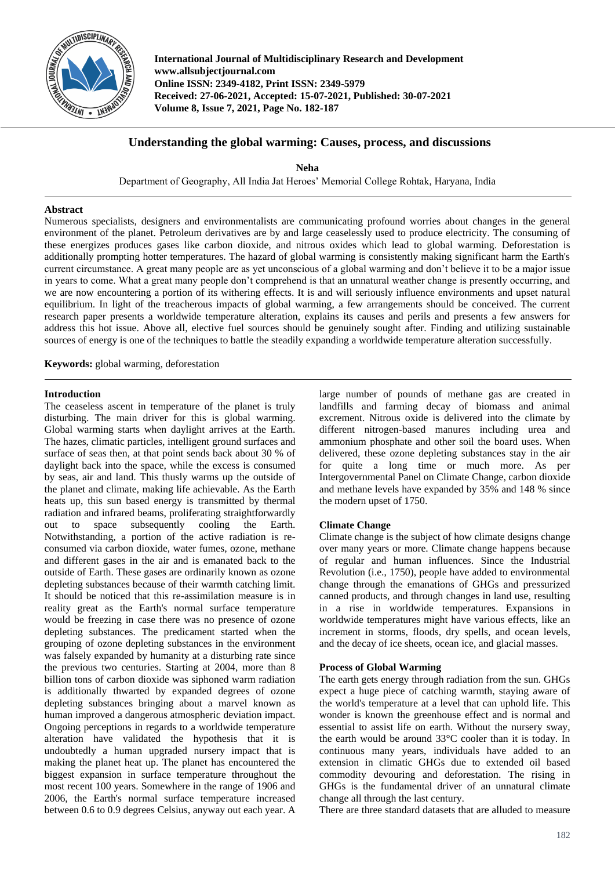

**International Journal of Multidisciplinary Research and Development www.allsubjectjournal.com Online ISSN: 2349-4182, Print ISSN: 2349-5979 Received: 27-06-2021, Accepted: 15-07-2021, Published: 30-07-2021 Volume 8, Issue 7, 2021, Page No. 182-187**

## **Understanding the global warming: Causes, process, and discussions**

**Neha** Department of Geography, All India Jat Heroes' Memorial College Rohtak, Haryana, India

## **Abstract**

Numerous specialists, designers and environmentalists are communicating profound worries about changes in the general environment of the planet. Petroleum derivatives are by and large ceaselessly used to produce electricity. The consuming of these energizes produces gases like carbon dioxide, and nitrous oxides which lead to global warming. Deforestation is additionally prompting hotter temperatures. The hazard of global warming is consistently making significant harm the Earth's current circumstance. A great many people are as yet unconscious of a global warming and don't believe it to be a major issue in years to come. What a great many people don't comprehend is that an unnatural weather change is presently occurring, and we are now encountering a portion of its withering effects. It is and will seriously influence environments and upset natural equilibrium. In light of the treacherous impacts of global warming, a few arrangements should be conceived. The current research paper presents a worldwide temperature alteration, explains its causes and perils and presents a few answers for address this hot issue. Above all, elective fuel sources should be genuinely sought after. Finding and utilizing sustainable sources of energy is one of the techniques to battle the steadily expanding a worldwide temperature alteration successfully.

**Keywords:** global warming, deforestation

#### **Introduction**

The ceaseless ascent in temperature of the planet is truly disturbing. The main driver for this is global warming. Global warming starts when daylight arrives at the Earth. The hazes, climatic particles, intelligent ground surfaces and surface of seas then, at that point sends back about 30 % of daylight back into the space, while the excess is consumed by seas, air and land. This thusly warms up the outside of the planet and climate, making life achievable. As the Earth heats up, this sun based energy is transmitted by thermal radiation and infrared beams, proliferating straightforwardly out to space subsequently cooling the Earth. Notwithstanding, a portion of the active radiation is reconsumed via carbon dioxide, water fumes, ozone, methane and different gases in the air and is emanated back to the outside of Earth. These gases are ordinarily known as ozone depleting substances because of their warmth catching limit. It should be noticed that this re-assimilation measure is in reality great as the Earth's normal surface temperature would be freezing in case there was no presence of ozone depleting substances. The predicament started when the grouping of ozone depleting substances in the environment was falsely expanded by humanity at a disturbing rate since the previous two centuries. Starting at 2004, more than 8 billion tons of carbon dioxide was siphoned warm radiation is additionally thwarted by expanded degrees of ozone depleting substances bringing about a marvel known as human improved a dangerous atmospheric deviation impact. Ongoing perceptions in regards to a worldwide temperature alteration have validated the hypothesis that it is undoubtedly a human upgraded nursery impact that is making the planet heat up. The planet has encountered the biggest expansion in surface temperature throughout the most recent 100 years. Somewhere in the range of 1906 and 2006, the Earth's normal surface temperature increased between 0.6 to 0.9 degrees Celsius, anyway out each year. A

large number of pounds of methane gas are created in landfills and farming decay of biomass and animal excrement. Nitrous oxide is delivered into the climate by different nitrogen-based manures including urea and ammonium phosphate and other soil the board uses. When delivered, these ozone depleting substances stay in the air for quite a long time or much more. As per Intergovernmental Panel on Climate Change, carbon dioxide and methane levels have expanded by 35% and 148 % since the modern upset of 1750.

## **Climate Change**

Climate change is the subject of how climate designs change over many years or more. Climate change happens because of regular and human influences. Since the Industrial Revolution (i.e., 1750), people have added to environmental change through the emanations of GHGs and pressurized canned products, and through changes in land use, resulting in a rise in worldwide temperatures. Expansions in worldwide temperatures might have various effects, like an increment in storms, floods, dry spells, and ocean levels, and the decay of ice sheets, ocean ice, and glacial masses.

## **Process of Global Warming**

The earth gets energy through radiation from the sun. GHGs expect a huge piece of catching warmth, staying aware of the world's temperature at a level that can uphold life. This wonder is known the greenhouse effect and is normal and essential to assist life on earth. Without the nursery sway, the earth would be around 33°C cooler than it is today. In continuous many years, individuals have added to an extension in climatic GHGs due to extended oil based commodity devouring and deforestation. The rising in GHGs is the fundamental driver of an unnatural climate change all through the last century.

There are three standard datasets that are alluded to measure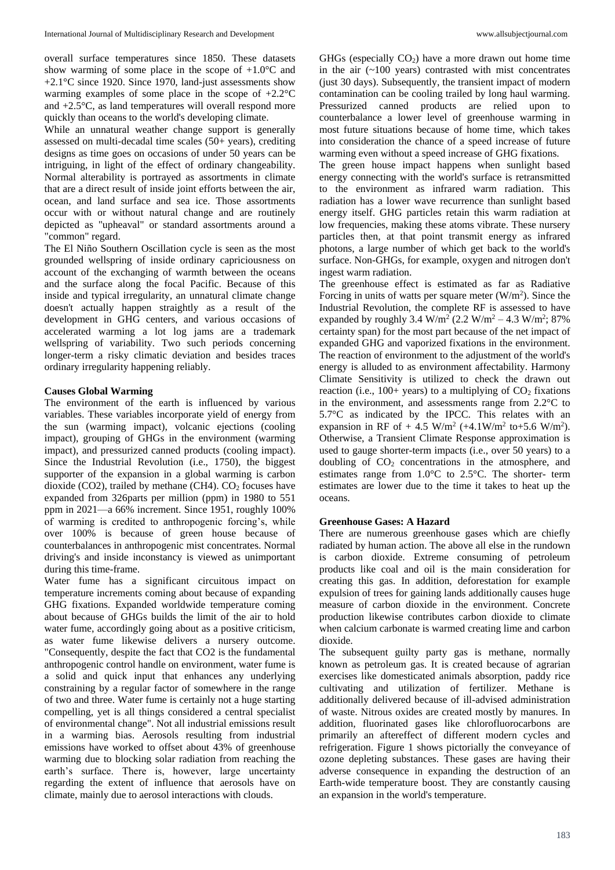overall surface temperatures since 1850. These datasets show warming of some place in the scope of  $+1.0$ °C and +2.1°C since 1920. Since 1970, land-just assessments show warming examples of some place in the scope of +2.2°C and +2.5°C, as land temperatures will overall respond more quickly than oceans to the world's developing climate.

While an unnatural weather change support is generally assessed on multi-decadal time scales (50+ years), crediting designs as time goes on occasions of under 50 years can be intriguing, in light of the effect of ordinary changeability. Normal alterability is portrayed as assortments in climate that are a direct result of inside joint efforts between the air, ocean, and land surface and sea ice. Those assortments occur with or without natural change and are routinely depicted as "upheaval" or standard assortments around a "common" regard.

The El Niño Southern Oscillation cycle is seen as the most grounded wellspring of inside ordinary capriciousness on account of the exchanging of warmth between the oceans and the surface along the focal Pacific. Because of this inside and typical irregularity, an unnatural climate change doesn't actually happen straightly as a result of the development in GHG centers, and various occasions of accelerated warming a lot log jams are a trademark wellspring of variability. Two such periods concerning longer-term a risky climatic deviation and besides traces ordinary irregularity happening reliably.

#### **Causes Global Warming**

The environment of the earth is influenced by various variables. These variables incorporate yield of energy from the sun (warming impact), volcanic ejections (cooling impact), grouping of GHGs in the environment (warming impact), and pressurized canned products (cooling impact). Since the Industrial Revolution (i.e., 1750), the biggest supporter of the expansion in a global warming is carbon dioxide (CO2), trailed by methane (CH4).  $CO<sub>2</sub>$  focuses have expanded from 326parts per million (ppm) in 1980 to 551 ppm in 2021—a 66% increment. Since 1951, roughly 100% of warming is credited to anthropogenic forcing's, while over 100% is because of green house because of counterbalances in anthropogenic mist concentrates. Normal driving's and inside inconstancy is viewed as unimportant during this time-frame.

Water fume has a significant circuitous impact on temperature increments coming about because of expanding GHG fixations. Expanded worldwide temperature coming about because of GHGs builds the limit of the air to hold water fume, accordingly going about as a positive criticism, as water fume likewise delivers a nursery outcome. "Consequently, despite the fact that CO2 is the fundamental anthropogenic control handle on environment, water fume is a solid and quick input that enhances any underlying constraining by a regular factor of somewhere in the range of two and three. Water fume is certainly not a huge starting compelling, yet is all things considered a central specialist of environmental change". Not all industrial emissions result in a warming bias. Aerosols resulting from industrial emissions have worked to offset about 43% of greenhouse warming due to blocking solar radiation from reaching the earth's surface. There is, however, large uncertainty regarding the extent of influence that aerosols have on climate, mainly due to aerosol interactions with clouds.

GHGs (especially  $CO<sub>2</sub>$ ) have a more drawn out home time in the air  $(-100 \text{ years})$  contrasted with mist concentrates (just 30 days). Subsequently, the transient impact of modern contamination can be cooling trailed by long haul warming. Pressurized canned products are relied upon to counterbalance a lower level of greenhouse warming in most future situations because of home time, which takes into consideration the chance of a speed increase of future warming even without a speed increase of GHG fixations.

The green house impact happens when sunlight based energy connecting with the world's surface is retransmitted to the environment as infrared warm radiation. This radiation has a lower wave recurrence than sunlight based energy itself. GHG particles retain this warm radiation at low frequencies, making these atoms vibrate. These nursery particles then, at that point transmit energy as infrared photons, a large number of which get back to the world's surface. Non-GHGs, for example, oxygen and nitrogen don't ingest warm radiation.

The greenhouse effect is estimated as far as Radiative Forcing in units of watts per square meter  $(W/m<sup>2</sup>)$ . Since the Industrial Revolution, the complete RF is assessed to have expanded by roughly 3.4 W/m<sup>2</sup> (2.2 W/m<sup>2</sup> – 4.3 W/m<sup>2</sup>; 87% certainty span) for the most part because of the net impact of expanded GHG and vaporized fixations in the environment. The reaction of environment to the adjustment of the world's energy is alluded to as environment affectability. Harmony Climate Sensitivity is utilized to check the drawn out reaction (i.e.,  $100+$  years) to a multiplying of  $CO<sub>2</sub>$  fixations in the environment, and assessments range from  $2.2^{\circ}$ C to 5.7°C as indicated by the IPCC. This relates with an expansion in RF of  $+$  4.5 W/m<sup>2</sup> ( $+4.1$ W/m<sup>2</sup> to $+5.6$  W/m<sup>2</sup>). Otherwise, a Transient Climate Response approximation is used to gauge shorter-term impacts (i.e., over 50 years) to a doubling of  $CO<sub>2</sub>$  concentrations in the atmosphere, and estimates range from 1.0°C to 2.5°C. The shorter- term estimates are lower due to the time it takes to heat up the oceans.

#### **Greenhouse Gases: A Hazard**

There are numerous greenhouse gases which are chiefly radiated by human action. The above all else in the rundown is carbon dioxide. Extreme consuming of petroleum products like coal and oil is the main consideration for creating this gas. In addition, deforestation for example expulsion of trees for gaining lands additionally causes huge measure of carbon dioxide in the environment. Concrete production likewise contributes carbon dioxide to climate when calcium carbonate is warmed creating lime and carbon dioxide.

The subsequent guilty party gas is methane, normally known as petroleum gas. It is created because of agrarian exercises like domesticated animals absorption, paddy rice cultivating and utilization of fertilizer. Methane is additionally delivered because of ill-advised administration of waste. Nitrous oxides are created mostly by manures. In addition, fluorinated gases like chlorofluorocarbons are primarily an aftereffect of different modern cycles and refrigeration. Figure 1 shows pictorially the conveyance of ozone depleting substances. These gases are having their adverse consequence in expanding the destruction of an Earth-wide temperature boost. They are constantly causing an expansion in the world's temperature.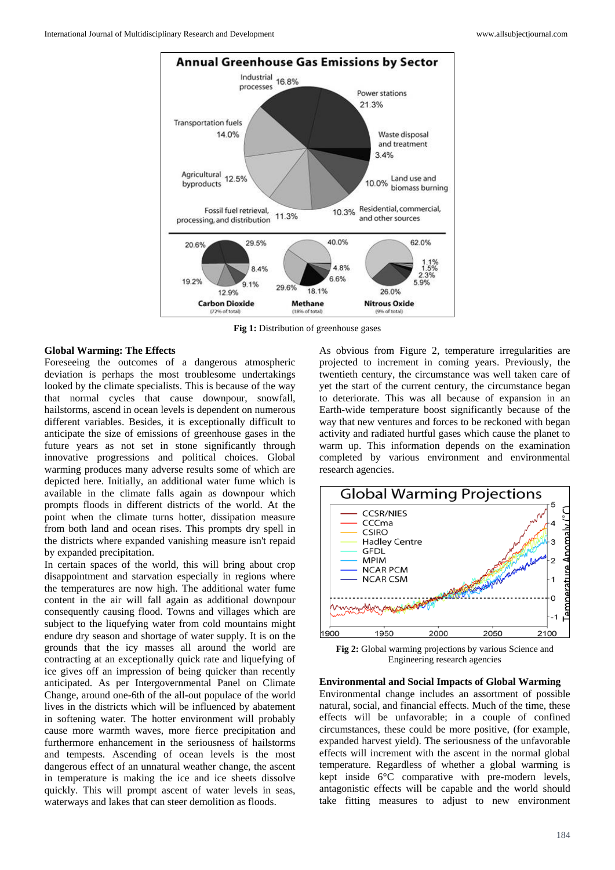

**Fig 1:** Distribution of greenhouse gases

#### **Global Warming: The Effects**

Foreseeing the outcomes of a dangerous atmospheric deviation is perhaps the most troublesome undertakings looked by the climate specialists. This is because of the way that normal cycles that cause downpour, snowfall, hailstorms, ascend in ocean levels is dependent on numerous different variables. Besides, it is exceptionally difficult to anticipate the size of emissions of greenhouse gases in the future years as not set in stone significantly through innovative progressions and political choices. Global warming produces many adverse results some of which are depicted here. Initially, an additional water fume which is available in the climate falls again as downpour which prompts floods in different districts of the world. At the point when the climate turns hotter, dissipation measure from both land and ocean rises. This prompts dry spell in the districts where expanded vanishing measure isn't repaid by expanded precipitation.

In certain spaces of the world, this will bring about crop disappointment and starvation especially in regions where the temperatures are now high. The additional water fume content in the air will fall again as additional downpour consequently causing flood. Towns and villages which are subject to the liquefying water from cold mountains might endure dry season and shortage of water supply. It is on the grounds that the icy masses all around the world are contracting at an exceptionally quick rate and liquefying of ice gives off an impression of being quicker than recently anticipated. As per Intergovernmental Panel on Climate Change, around one-6th of the all-out populace of the world lives in the districts which will be influenced by abatement in softening water. The hotter environment will probably cause more warmth waves, more fierce precipitation and furthermore enhancement in the seriousness of hailstorms and tempests. Ascending of ocean levels is the most dangerous effect of an unnatural weather change, the ascent in temperature is making the ice and ice sheets dissolve quickly. This will prompt ascent of water levels in seas, waterways and lakes that can steer demolition as floods.

As obvious from Figure 2, temperature irregularities are projected to increment in coming years. Previously, the twentieth century, the circumstance was well taken care of yet the start of the current century, the circumstance began to deteriorate. This was all because of expansion in an Earth-wide temperature boost significantly because of the way that new ventures and forces to be reckoned with began activity and radiated hurtful gases which cause the planet to warm up. This information depends on the examination completed by various environment and environmental research agencies.



**Fig 2:** Global warming projections by various Science and Engineering research agencies

# **Environmental and Social Impacts of Global Warming**

Environmental change includes an assortment of possible natural, social, and financial effects. Much of the time, these effects will be unfavorable; in a couple of confined circumstances, these could be more positive, (for example, expanded harvest yield). The seriousness of the unfavorable effects will increment with the ascent in the normal global temperature. Regardless of whether a global warming is kept inside 6°C comparative with pre-modern levels, antagonistic effects will be capable and the world should take fitting measures to adjust to new environment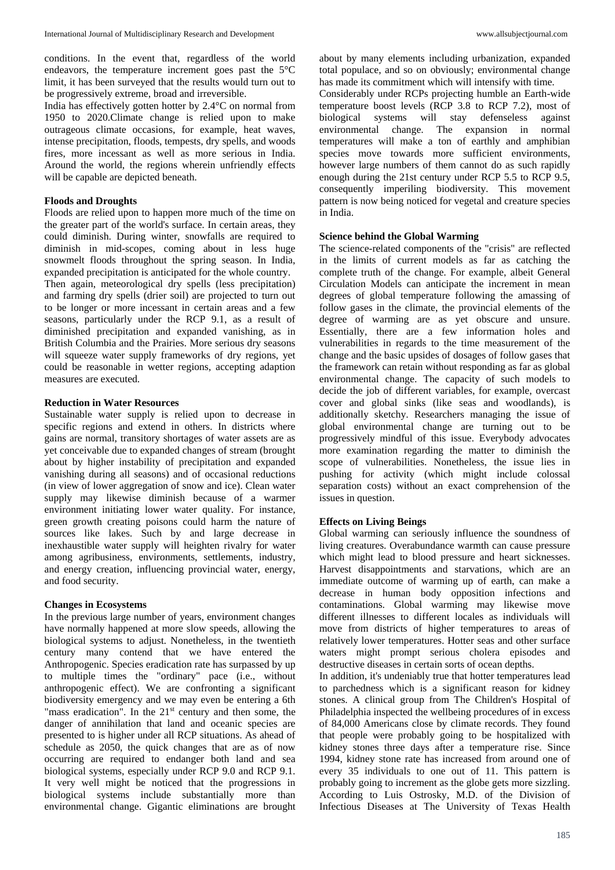conditions. In the event that, regardless of the world endeavors, the temperature increment goes past the 5°C limit, it has been surveyed that the results would turn out to be progressively extreme, broad and irreversible.

India has effectively gotten hotter by 2.4°C on normal from 1950 to 2020.Climate change is relied upon to make outrageous climate occasions, for example, heat waves, intense precipitation, floods, tempests, dry spells, and woods fires, more incessant as well as more serious in India. Around the world, the regions wherein unfriendly effects will be capable are depicted beneath.

## **Floods and Droughts**

Floods are relied upon to happen more much of the time on the greater part of the world's surface. In certain areas, they could diminish. During winter, snowfalls are required to diminish in mid-scopes, coming about in less huge snowmelt floods throughout the spring season. In India, expanded precipitation is anticipated for the whole country. Then again, meteorological dry spells (less precipitation) and farming dry spells (drier soil) are projected to turn out to be longer or more incessant in certain areas and a few seasons, particularly under the RCP 9.1, as a result of diminished precipitation and expanded vanishing, as in British Columbia and the Prairies. More serious dry seasons will squeeze water supply frameworks of dry regions, yet could be reasonable in wetter regions, accepting adaption measures are executed.

#### **Reduction in Water Resources**

Sustainable water supply is relied upon to decrease in specific regions and extend in others. In districts where gains are normal, transitory shortages of water assets are as yet conceivable due to expanded changes of stream (brought about by higher instability of precipitation and expanded vanishing during all seasons) and of occasional reductions (in view of lower aggregation of snow and ice). Clean water supply may likewise diminish because of a warmer environment initiating lower water quality. For instance, green growth creating poisons could harm the nature of sources like lakes. Such by and large decrease in inexhaustible water supply will heighten rivalry for water among agribusiness, environments, settlements, industry, and energy creation, influencing provincial water, energy, and food security.

## **Changes in Ecosystems**

In the previous large number of years, environment changes have normally happened at more slow speeds, allowing the biological systems to adjust. Nonetheless, in the twentieth century many contend that we have entered the Anthropogenic. Species eradication rate has surpassed by up to multiple times the "ordinary" pace (i.e., without anthropogenic effect). We are confronting a significant biodiversity emergency and we may even be entering a 6th "mass eradication". In the  $21<sup>st</sup>$  century and then some, the danger of annihilation that land and oceanic species are presented to is higher under all RCP situations. As ahead of schedule as 2050, the quick changes that are as of now occurring are required to endanger both land and sea biological systems, especially under RCP 9.0 and RCP 9.1. It very well might be noticed that the progressions in biological systems include substantially more than environmental change. Gigantic eliminations are brought about by many elements including urbanization, expanded total populace, and so on obviously; environmental change has made its commitment which will intensify with time.

Considerably under RCPs projecting humble an Earth-wide temperature boost levels (RCP 3.8 to RCP 7.2), most of biological systems will stay defenseless against environmental change. The expansion in normal temperatures will make a ton of earthly and amphibian species move towards more sufficient environments, however large numbers of them cannot do as such rapidly enough during the 21st century under RCP 5.5 to RCP 9.5, consequently imperiling biodiversity. This movement pattern is now being noticed for vegetal and creature species in India.

#### **Science behind the Global Warming**

The science-related components of the "crisis" are reflected in the limits of current models as far as catching the complete truth of the change. For example, albeit General Circulation Models can anticipate the increment in mean degrees of global temperature following the amassing of follow gases in the climate, the provincial elements of the degree of warming are as yet obscure and unsure. Essentially, there are a few information holes and vulnerabilities in regards to the time measurement of the change and the basic upsides of dosages of follow gases that the framework can retain without responding as far as global environmental change. The capacity of such models to decide the job of different variables, for example, overcast cover and global sinks (like seas and woodlands), is additionally sketchy. Researchers managing the issue of global environmental change are turning out to be progressively mindful of this issue. Everybody advocates more examination regarding the matter to diminish the scope of vulnerabilities. Nonetheless, the issue lies in pushing for activity (which might include colossal separation costs) without an exact comprehension of the issues in question.

#### **Effects on Living Beings**

Global warming can seriously influence the soundness of living creatures. Overabundance warmth can cause pressure which might lead to blood pressure and heart sicknesses. Harvest disappointments and starvations, which are an immediate outcome of warming up of earth, can make a decrease in human body opposition infections and contaminations. Global warming may likewise move different illnesses to different locales as individuals will move from districts of higher temperatures to areas of relatively lower temperatures. Hotter seas and other surface waters might prompt serious cholera episodes and destructive diseases in certain sorts of ocean depths.

In addition, it's undeniably true that hotter temperatures lead to parchedness which is a significant reason for kidney stones. A clinical group from The Children's Hospital of Philadelphia inspected the wellbeing procedures of in excess of 84,000 Americans close by climate records. They found that people were probably going to be hospitalized with kidney stones three days after a temperature rise. Since 1994, kidney stone rate has increased from around one of every 35 individuals to one out of 11. This pattern is probably going to increment as the globe gets more sizzling. According to Luis Ostrosky, M.D. of the Division of Infectious Diseases at The University of Texas Health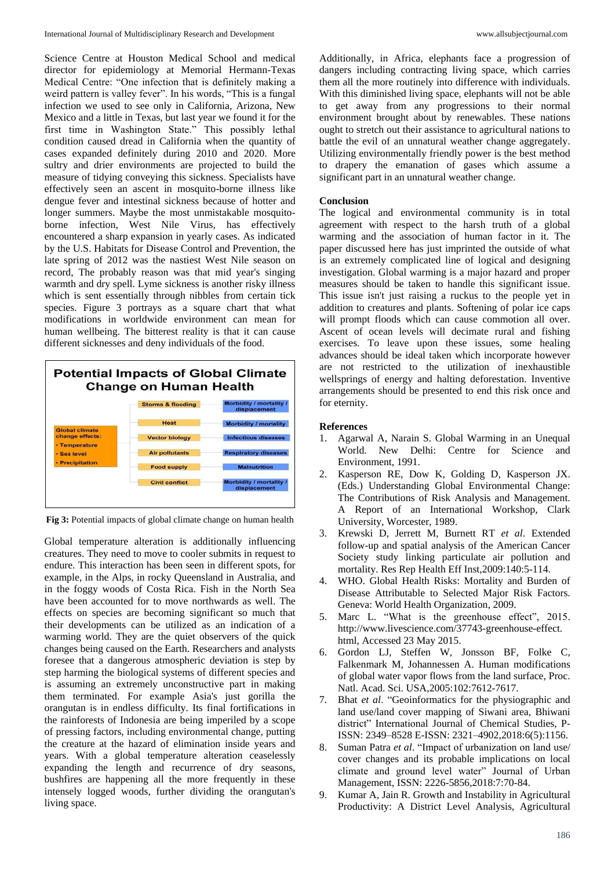Science Centre at Houston Medical School and medical director for epidemiology at Memorial Hermann-Texas Medical Centre: "One infection that is definitely making a weird pattern is valley fever". In his words, "This is a fungal infection we used to see only in California, Arizona, New Mexico and a little in Texas, but last year we found it for the first time in Washington State." This possibly lethal condition caused dread in California when the quantity of cases expanded definitely during 2010 and 2020. More sultry and drier environments are projected to build the measure of tidying conveying this sickness. Specialists have effectively seen an ascent in mosquito-borne illness like dengue fever and intestinal sickness because of hotter and longer summers. Maybe the most unmistakable mosquitoborne infection, West Nile Virus, has effectively encountered a sharp expansion in yearly cases. As indicated by the U.S. Habitats for Disease Control and Prevention, the late spring of 2012 was the nastiest West Nile season on record, The probably reason was that mid year's singing warmth and dry spell. Lyme sickness is another risky illness which is sent essentially through nibbles from certain tick species. Figure 3 portrays as a square chart that what modifications in worldwide environment can mean for human wellbeing. The bitterest reality is that it can cause different sicknesses and deny individuals of the food.

# **Potential Impacts of Global Climate Change on Human Health Storms & flooding**



**Fig 3:** Potential impacts of global climate change on human health

Global temperature alteration is additionally influencing creatures. They need to move to cooler submits in request to endure. This interaction has been seen in different spots, for example, in the Alps, in rocky Queensland in Australia, and in the foggy woods of Costa Rica. Fish in the North Sea have been accounted for to move northwards as well. The effects on species are becoming significant so much that their developments can be utilized as an indication of a warming world. They are the quiet observers of the quick changes being caused on the Earth. Researchers and analysts foresee that a dangerous atmospheric deviation is step by step harming the biological systems of different species and is assuming an extremely unconstructive part in making them terminated. For example Asia's just gorilla the orangutan is in endless difficulty. Its final fortifications in the rainforests of Indonesia are being imperiled by a scope of pressing factors, including environmental change, putting the creature at the hazard of elimination inside years and years. With a global temperature alteration ceaselessly expanding the length and recurrence of dry seasons, bushfires are happening all the more frequently in these intensely logged woods, further dividing the orangutan's living space.

Additionally, in Africa, elephants face a progression of dangers including contracting living space, which carries them all the more routinely into difference with individuals. With this diminished living space, elephants will not be able to get away from any progressions to their normal environment brought about by renewables. These nations ought to stretch out their assistance to agricultural nations to battle the evil of an unnatural weather change aggregately. Utilizing environmentally friendly power is the best method to drapery the emanation of gases which assume a significant part in an unnatural weather change.

## **Conclusion**

The logical and environmental community is in total agreement with respect to the harsh truth of a global warming and the association of human factor in it. The paper discussed here has just imprinted the outside of what is an extremely complicated line of logical and designing investigation. Global warming is a major hazard and proper measures should be taken to handle this significant issue. This issue isn't just raising a ruckus to the people yet in addition to creatures and plants. Softening of polar ice caps will prompt floods which can cause commotion all over. Ascent of ocean levels will decimate rural and fishing exercises. To leave upon these issues, some healing advances should be ideal taken which incorporate however are not restricted to the utilization of inexhaustible wellsprings of energy and halting deforestation. Inventive arrangements should be presented to end this risk once and for eternity.

## **References**

- 1. Agarwal A, Narain S. Global Warming in an Unequal World. New Delhi: Centre for Science and Environment, 1991.
- 2. Kasperson RE, Dow K, Golding D, Kasperson JX. (Eds.) Understanding Global Environmental Change: The Contributions of Risk Analysis and Management. A Report of an International Workshop, Clark University, Worcester, 1989.
- 3. Krewski D, Jerrett M, Burnett RT *et al*. Extended follow-up and spatial analysis of the American Cancer Society study linking particulate air pollution and mortality. Res Rep Health Eff Inst,2009:140:5-114.
- 4. WHO. Global Health Risks: Mortality and Burden of Disease Attributable to Selected Major Risk Factors. Geneva: World Health Organization, 2009.
- 5. Marc L. "What is the greenhouse effect", 2015. http://www.livescience.com/37743-greenhouse-effect. html, Accessed 23 May 2015.
- 6. Gordon LJ, Steffen W, Jonsson BF, Folke C, Falkenmark M, Johannessen A. Human modifications of global water vapor flows from the land surface, Proc. Natl. Acad. Sci. USA,2005:102:7612-7617.
- 7. Bhat *et al*. "Geoinformatics for the physiographic and land use/land cover mapping of Siwani area, Bhiwani district" International Journal of Chemical Studies, P-ISSN: 2349–8528 E-ISSN: 2321–4902,2018:6(5):1156.
- 8. Suman Patra *et al*. "Impact of urbanization on land use/ cover changes and its probable implications on local climate and ground level water" Journal of Urban Management, ISSN: 2226-5856,2018:7:70-84.
- 9. Kumar A, Jain R. Growth and Instability in Agricultural Productivity: A District Level Analysis, Agricultural